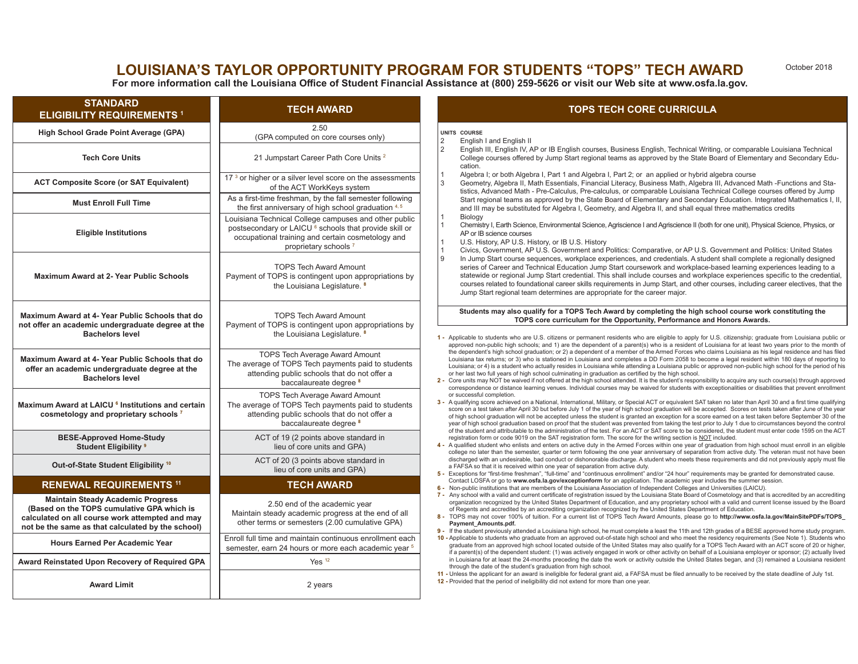# **LOUISIANA'S TAYLOR OPPORTUNITY PROGRAM FOR STUDENTS "TOPS" TECH AWARD**

October 2018

**For more information call the Louisiana Office of Student Financial Assistance at (800) 259-5626 or visit our Web site at www.osfa.la.gov.** 

| <b>STANDARD</b><br><b>ELIGIBILITY REQUIREMENTS 1</b>                                                                                                                                           | <b>TECH AWARD</b>                                                                                                                                                                                                   | <b>TOPS TECH CORE CURRICULA</b>                                                                                                                                                                                                                                                                                                                                                                                                                                                                                                                                                                                                                                                                                                                                                                                                                                                                                                                                                                                                                                                                                                                                                                                                                                                                                                                                                                                                                                                                                                                                                                                                                                                                                                                                                                                                                                                                                                                                                                                                                                                                                                                                                                                                                                                                                                                                                                                                                                                                                                                                                                                                                                                                                                                                                                                                                                                                                                                                                                                                                                                                                                                                                                                                                                                                                                                                                                                                                                                                                                                                                                                                                                                                                                                                                                                                                                                                                                                                                                                                                                                                                                                                                                                                                                                                                                                                                                                                                                                                                                                                                                                                                                                                                                          |
|------------------------------------------------------------------------------------------------------------------------------------------------------------------------------------------------|---------------------------------------------------------------------------------------------------------------------------------------------------------------------------------------------------------------------|------------------------------------------------------------------------------------------------------------------------------------------------------------------------------------------------------------------------------------------------------------------------------------------------------------------------------------------------------------------------------------------------------------------------------------------------------------------------------------------------------------------------------------------------------------------------------------------------------------------------------------------------------------------------------------------------------------------------------------------------------------------------------------------------------------------------------------------------------------------------------------------------------------------------------------------------------------------------------------------------------------------------------------------------------------------------------------------------------------------------------------------------------------------------------------------------------------------------------------------------------------------------------------------------------------------------------------------------------------------------------------------------------------------------------------------------------------------------------------------------------------------------------------------------------------------------------------------------------------------------------------------------------------------------------------------------------------------------------------------------------------------------------------------------------------------------------------------------------------------------------------------------------------------------------------------------------------------------------------------------------------------------------------------------------------------------------------------------------------------------------------------------------------------------------------------------------------------------------------------------------------------------------------------------------------------------------------------------------------------------------------------------------------------------------------------------------------------------------------------------------------------------------------------------------------------------------------------------------------------------------------------------------------------------------------------------------------------------------------------------------------------------------------------------------------------------------------------------------------------------------------------------------------------------------------------------------------------------------------------------------------------------------------------------------------------------------------------------------------------------------------------------------------------------------------------------------------------------------------------------------------------------------------------------------------------------------------------------------------------------------------------------------------------------------------------------------------------------------------------------------------------------------------------------------------------------------------------------------------------------------------------------------------------------------------------------------------------------------------------------------------------------------------------------------------------------------------------------------------------------------------------------------------------------------------------------------------------------------------------------------------------------------------------------------------------------------------------------------------------------------------------------------------------------------------------------------------------------------------------------------------------------------------------------------------------------------------------------------------------------------------------------------------------------------------------------------------------------------------------------------------------------------------------------------------------------------------------------------------------------------------------------------------------------------------------------------------------------------------------|
| High School Grade Point Average (GPA)                                                                                                                                                          | 2.50<br>(GPA computed on core courses only)                                                                                                                                                                         | UNITS COURSE<br>2<br>English I and English II<br>$\sqrt{2}$<br>English III, English IV, AP or IB English courses, Business English, Technical Writing, or comparable Louisiana Technical<br>College courses offered by Jump Start regional teams as approved by the State Board of Elementary and Secondary Edu-<br>cation.<br>$\mathbf{1}$<br>Algebra I; or both Algebra I, Part 1 and Algebra I, Part 2; or an applied or hybrid algebra course<br>$\mathcal{R}$<br>Geometry, Algebra II, Math Essentials, Financial Literacy, Business Math, Algebra III, Advanced Math -Functions and Sta-<br>tistics, Advanced Math - Pre-Calculus, Pre-calculus, or comparable Louisiana Technical College courses offered by Jump<br>Start regional teams as approved by the State Board of Elementary and Secondary Education. Integrated Mathematics I, II,<br>and III may be substituted for Algebra I, Geometry, and Algebra II, and shall equal three mathematics credits<br>1<br>Biology<br>Chemistry I, Earth Science, Environmental Science, Agriscience I and Agriscience II (both for one unit), Physical Science, Physics, or<br>$\mathbf{1}$<br>AP or IB science courses<br>$\overline{1}$<br>U.S. History, AP U.S. History, or IB U.S. History<br>$\overline{1}$<br>Civics, Government, AP U.S. Government and Politics: Comparative, or AP U.S. Government and Politics: United States<br>و ا<br>In Jump Start course sequences, workplace experiences, and credentials. A student shall complete a regionally designed<br>series of Career and Technical Education Jump Start coursework and workplace-based learning experiences leading to a<br>statewide or regional Jump Start credential. This shall include courses and workplace experiences specific to the credential,<br>courses related to foundational career skills requirements in Jump Start, and other courses, including career electives, that the<br>Jump Start regional team determines are appropriate for the career major.<br>Students may also qualify for a TOPS Tech Award by completing the high school course work constituting the<br>TOPS core curriculum for the Opportunity, Performance and Honors Awards.<br>1 - Applicable to students who are U.S. citizens or permanent residents who are eligible to apply for U.S. citizenship; graduate from Louisiana public or<br>approved non-public high schools; and 1) are the dependent of a parent(s) who is a resident of Louisiana for at least two years prior to the month of<br>the dependent's high school graduation; or 2) a dependent of a member of the Armed Forces who claims Louisiana as his legal residence and has filed<br>Louisiana tax returns; or 3) who is stationed in Louisiana and completes a DD Form 2058 to become a legal resident within 180 days of reporting to<br>Louisiana; or 4) is a student who actually resides in Louisiana while attending a Louisiana public or approved non-public high school for the period of his<br>or her last two full years of high school culminating in graduation as certified by the high school.<br>2 - Core units may NOT be waived if not offered at the high school attended. It is the student's responsibility to acquire any such course(s) through approved<br>correspondence or distance learning venues. Individual courses may be waived for students with exceptionalities or disabilities that prevent enrollment<br>or successful completion.<br>3 - A qualifying score achieved on a National, International, Military, or Special ACT or equivalent SAT taken no later than April 30 and a first time qualifying<br>score on a test taken after April 30 but before July 1 of the year of high school graduation will be accepted. Scores on tests taken after June of the year<br>of high school graduation will not be accepted unless the student is granted an exception for a score earned on a test taken before September 30 of the<br>year of high school graduation based on proof that the student was prevented from taking the test prior to July 1 due to circumstances beyond the control<br>of the student and attributable to the administration of the test. For an ACT or SAT score to be considered, the student must enter code 1595 on the ACT<br>registration form or code 9019 on the SAT registration form. The score for the writing section is NOT included.<br>4 - A qualified student who enlists and enters on active duty in the Armed Forces within one year of graduation from high school must enroll in an eligible<br>college no later than the semester, quarter or term following the one year anniversary of separation from active duty. The veteran must not have been |
| <b>Tech Core Units</b>                                                                                                                                                                         | 21 Jumpstart Career Path Core Units <sup>2</sup>                                                                                                                                                                    |                                                                                                                                                                                                                                                                                                                                                                                                                                                                                                                                                                                                                                                                                                                                                                                                                                                                                                                                                                                                                                                                                                                                                                                                                                                                                                                                                                                                                                                                                                                                                                                                                                                                                                                                                                                                                                                                                                                                                                                                                                                                                                                                                                                                                                                                                                                                                                                                                                                                                                                                                                                                                                                                                                                                                                                                                                                                                                                                                                                                                                                                                                                                                                                                                                                                                                                                                                                                                                                                                                                                                                                                                                                                                                                                                                                                                                                                                                                                                                                                                                                                                                                                                                                                                                                                                                                                                                                                                                                                                                                                                                                                                                                                                                                                          |
| <b>ACT Composite Score (or SAT Equivalent)</b>                                                                                                                                                 | 17 <sup>3</sup> or higher or a silver level score on the assessments<br>of the ACT WorkKeys system                                                                                                                  |                                                                                                                                                                                                                                                                                                                                                                                                                                                                                                                                                                                                                                                                                                                                                                                                                                                                                                                                                                                                                                                                                                                                                                                                                                                                                                                                                                                                                                                                                                                                                                                                                                                                                                                                                                                                                                                                                                                                                                                                                                                                                                                                                                                                                                                                                                                                                                                                                                                                                                                                                                                                                                                                                                                                                                                                                                                                                                                                                                                                                                                                                                                                                                                                                                                                                                                                                                                                                                                                                                                                                                                                                                                                                                                                                                                                                                                                                                                                                                                                                                                                                                                                                                                                                                                                                                                                                                                                                                                                                                                                                                                                                                                                                                                                          |
| <b>Must Enroll Full Time</b>                                                                                                                                                                   | As a first-time freshman, by the fall semester following<br>the first anniversary of high school graduation 4, 5                                                                                                    |                                                                                                                                                                                                                                                                                                                                                                                                                                                                                                                                                                                                                                                                                                                                                                                                                                                                                                                                                                                                                                                                                                                                                                                                                                                                                                                                                                                                                                                                                                                                                                                                                                                                                                                                                                                                                                                                                                                                                                                                                                                                                                                                                                                                                                                                                                                                                                                                                                                                                                                                                                                                                                                                                                                                                                                                                                                                                                                                                                                                                                                                                                                                                                                                                                                                                                                                                                                                                                                                                                                                                                                                                                                                                                                                                                                                                                                                                                                                                                                                                                                                                                                                                                                                                                                                                                                                                                                                                                                                                                                                                                                                                                                                                                                                          |
| <b>Eligible Institutions</b>                                                                                                                                                                   | Louisiana Technical College campuses and other public<br>postsecondary or LAICU <sup>6</sup> schools that provide skill or<br>occupational training and certain cosmetology and<br>proprietary schools <sup>7</sup> |                                                                                                                                                                                                                                                                                                                                                                                                                                                                                                                                                                                                                                                                                                                                                                                                                                                                                                                                                                                                                                                                                                                                                                                                                                                                                                                                                                                                                                                                                                                                                                                                                                                                                                                                                                                                                                                                                                                                                                                                                                                                                                                                                                                                                                                                                                                                                                                                                                                                                                                                                                                                                                                                                                                                                                                                                                                                                                                                                                                                                                                                                                                                                                                                                                                                                                                                                                                                                                                                                                                                                                                                                                                                                                                                                                                                                                                                                                                                                                                                                                                                                                                                                                                                                                                                                                                                                                                                                                                                                                                                                                                                                                                                                                                                          |
| <b>Maximum Award at 2- Year Public Schools</b>                                                                                                                                                 | <b>TOPS Tech Award Amount</b><br>Payment of TOPS is contingent upon appropriations by<br>the Louisiana Legislature. <sup>8</sup>                                                                                    |                                                                                                                                                                                                                                                                                                                                                                                                                                                                                                                                                                                                                                                                                                                                                                                                                                                                                                                                                                                                                                                                                                                                                                                                                                                                                                                                                                                                                                                                                                                                                                                                                                                                                                                                                                                                                                                                                                                                                                                                                                                                                                                                                                                                                                                                                                                                                                                                                                                                                                                                                                                                                                                                                                                                                                                                                                                                                                                                                                                                                                                                                                                                                                                                                                                                                                                                                                                                                                                                                                                                                                                                                                                                                                                                                                                                                                                                                                                                                                                                                                                                                                                                                                                                                                                                                                                                                                                                                                                                                                                                                                                                                                                                                                                                          |
| Maximum Award at 4- Year Public Schools that do<br>not offer an academic undergraduate degree at the<br><b>Bachelors level</b>                                                                 | <b>TOPS Tech Award Amount</b><br>Payment of TOPS is contingent upon appropriations by<br>the Louisiana Legislature. 8                                                                                               |                                                                                                                                                                                                                                                                                                                                                                                                                                                                                                                                                                                                                                                                                                                                                                                                                                                                                                                                                                                                                                                                                                                                                                                                                                                                                                                                                                                                                                                                                                                                                                                                                                                                                                                                                                                                                                                                                                                                                                                                                                                                                                                                                                                                                                                                                                                                                                                                                                                                                                                                                                                                                                                                                                                                                                                                                                                                                                                                                                                                                                                                                                                                                                                                                                                                                                                                                                                                                                                                                                                                                                                                                                                                                                                                                                                                                                                                                                                                                                                                                                                                                                                                                                                                                                                                                                                                                                                                                                                                                                                                                                                                                                                                                                                                          |
| Maximum Award at 4- Year Public Schools that do<br>offer an academic undergraduate degree at the<br><b>Bachelors level</b>                                                                     | <b>TOPS Tech Average Award Amount</b><br>The average of TOPS Tech payments paid to students<br>attending public schools that do not offer a<br>baccalaureate degree <sup>8</sup>                                    |                                                                                                                                                                                                                                                                                                                                                                                                                                                                                                                                                                                                                                                                                                                                                                                                                                                                                                                                                                                                                                                                                                                                                                                                                                                                                                                                                                                                                                                                                                                                                                                                                                                                                                                                                                                                                                                                                                                                                                                                                                                                                                                                                                                                                                                                                                                                                                                                                                                                                                                                                                                                                                                                                                                                                                                                                                                                                                                                                                                                                                                                                                                                                                                                                                                                                                                                                                                                                                                                                                                                                                                                                                                                                                                                                                                                                                                                                                                                                                                                                                                                                                                                                                                                                                                                                                                                                                                                                                                                                                                                                                                                                                                                                                                                          |
| Maximum Award at LAICU <sup>6</sup> Institutions and certain<br>cosmetology and proprietary schools 7                                                                                          | <b>TOPS Tech Average Award Amount</b><br>The average of TOPS Tech payments paid to students<br>attending public schools that do not offer a<br>baccalaureate degree <sup>8</sup>                                    |                                                                                                                                                                                                                                                                                                                                                                                                                                                                                                                                                                                                                                                                                                                                                                                                                                                                                                                                                                                                                                                                                                                                                                                                                                                                                                                                                                                                                                                                                                                                                                                                                                                                                                                                                                                                                                                                                                                                                                                                                                                                                                                                                                                                                                                                                                                                                                                                                                                                                                                                                                                                                                                                                                                                                                                                                                                                                                                                                                                                                                                                                                                                                                                                                                                                                                                                                                                                                                                                                                                                                                                                                                                                                                                                                                                                                                                                                                                                                                                                                                                                                                                                                                                                                                                                                                                                                                                                                                                                                                                                                                                                                                                                                                                                          |
| <b>BESE-Approved Home-Study</b><br><b>Student Eligibility 9</b>                                                                                                                                | ACT of 19 (2 points above standard in<br>lieu of core units and GPA)                                                                                                                                                |                                                                                                                                                                                                                                                                                                                                                                                                                                                                                                                                                                                                                                                                                                                                                                                                                                                                                                                                                                                                                                                                                                                                                                                                                                                                                                                                                                                                                                                                                                                                                                                                                                                                                                                                                                                                                                                                                                                                                                                                                                                                                                                                                                                                                                                                                                                                                                                                                                                                                                                                                                                                                                                                                                                                                                                                                                                                                                                                                                                                                                                                                                                                                                                                                                                                                                                                                                                                                                                                                                                                                                                                                                                                                                                                                                                                                                                                                                                                                                                                                                                                                                                                                                                                                                                                                                                                                                                                                                                                                                                                                                                                                                                                                                                                          |
| Out-of-State Student Eligibility <sup>10</sup>                                                                                                                                                 | ACT of 20 (3 points above standard in<br>lieu of core units and GPA)                                                                                                                                                | discharged with an undesirable, bad conduct or dishonorable discharge. A student who meets these requirements and did not previously apply must file<br>a FAFSA so that it is received within one year of separation from active duty.<br>5 - Exceptions for "first-time freshman", "full-time" and "continuous enrollment" and/or "24 hour" requirements may be granted for demonstrated cause.                                                                                                                                                                                                                                                                                                                                                                                                                                                                                                                                                                                                                                                                                                                                                                                                                                                                                                                                                                                                                                                                                                                                                                                                                                                                                                                                                                                                                                                                                                                                                                                                                                                                                                                                                                                                                                                                                                                                                                                                                                                                                                                                                                                                                                                                                                                                                                                                                                                                                                                                                                                                                                                                                                                                                                                                                                                                                                                                                                                                                                                                                                                                                                                                                                                                                                                                                                                                                                                                                                                                                                                                                                                                                                                                                                                                                                                                                                                                                                                                                                                                                                                                                                                                                                                                                                                                         |
| <b>RENEWAL REQUIREMENTS 11</b>                                                                                                                                                                 | <b>TECH AWARD</b>                                                                                                                                                                                                   | Contact LOSFA or go to www.osfa.la.gov/exceptionform for an application. The academic year includes the summer session.<br>6 - Non-public institutions that are members of the Louisiana Association of Independent Colleges and Universities (LAICU).                                                                                                                                                                                                                                                                                                                                                                                                                                                                                                                                                                                                                                                                                                                                                                                                                                                                                                                                                                                                                                                                                                                                                                                                                                                                                                                                                                                                                                                                                                                                                                                                                                                                                                                                                                                                                                                                                                                                                                                                                                                                                                                                                                                                                                                                                                                                                                                                                                                                                                                                                                                                                                                                                                                                                                                                                                                                                                                                                                                                                                                                                                                                                                                                                                                                                                                                                                                                                                                                                                                                                                                                                                                                                                                                                                                                                                                                                                                                                                                                                                                                                                                                                                                                                                                                                                                                                                                                                                                                                   |
| <b>Maintain Steady Academic Progress</b><br>(Based on the TOPS cumulative GPA which is<br>calculated on all course work attempted and may<br>not be the same as that calculated by the school) | 2.50 end of the academic year<br>Maintain steady academic progress at the end of all<br>other terms or semesters (2.00 cumulative GPA)                                                                              | 7 - Any school with a valid and current certificate of registration issued by the Louisiana State Board of Cosmetology and that is accredited by an accrediting<br>organization recognized by the United States Department of Education, and any proprietary school with a valid and current license issued by the Board<br>of Regents and accredited by an accrediting organization recognized by the United States Department of Education.<br>8 - TOPS may not cover 100% of tuition. For a current list of TOPS Tech Award Amounts, please go to http://www.osfa.la.gov/MainSitePDFs/TOPS<br>Payment Amounts.pdf.<br>9 - If the student previously attended a Louisiana high school, he must complete a least the 11th and 12th grades of a BESE approved home study program<br>10 - Applicable to students who graduate from an approved out-of-state high school and who meet the residency requirements (See Note 1). Students who<br>graduate from an approved high school located outside of the United States may also qualify for a TOPS Tech Award with an ACT score of 20 or higher,<br>if a parent(s) of the dependent student: (1) was actively engaged in work or other activity on behalf of a Louisiana employer or sponsor; (2) actually lived<br>in Louisiana for at least the 24-months preceding the date the work or activity outside the United States began, and (3) remained a Louisiana resident<br>through the date of the student's graduation from high school.<br>11 - Unless the applicant for an award is ineligible for federal grant aid, a FAFSA must be filed annually to be received by the state deadline of July 1st.<br>12 - Provided that the period of ineligibility did not extend for more than one year.                                                                                                                                                                                                                                                                                                                                                                                                                                                                                                                                                                                                                                                                                                                                                                                                                                                                                                                                                                                                                                                                                                                                                                                                                                                                                                                                                                                                                                                                                                                                                                                                                                                                                                                                                                                                                                                                                                                                                                                                                                                                                                                                                                                                                                                                                                                                                                                                                                                                                                                                                                                                                                                                                                                                                                                                                                                                                                                                                                                   |
| <b>Hours Earned Per Academic Year</b>                                                                                                                                                          | Enroll full time and maintain continuous enrollment each<br>semester, earn 24 hours or more each academic year 5                                                                                                    |                                                                                                                                                                                                                                                                                                                                                                                                                                                                                                                                                                                                                                                                                                                                                                                                                                                                                                                                                                                                                                                                                                                                                                                                                                                                                                                                                                                                                                                                                                                                                                                                                                                                                                                                                                                                                                                                                                                                                                                                                                                                                                                                                                                                                                                                                                                                                                                                                                                                                                                                                                                                                                                                                                                                                                                                                                                                                                                                                                                                                                                                                                                                                                                                                                                                                                                                                                                                                                                                                                                                                                                                                                                                                                                                                                                                                                                                                                                                                                                                                                                                                                                                                                                                                                                                                                                                                                                                                                                                                                                                                                                                                                                                                                                                          |
| Award Reinstated Upon Recovery of Required GPA                                                                                                                                                 | Yes <sup>12</sup>                                                                                                                                                                                                   |                                                                                                                                                                                                                                                                                                                                                                                                                                                                                                                                                                                                                                                                                                                                                                                                                                                                                                                                                                                                                                                                                                                                                                                                                                                                                                                                                                                                                                                                                                                                                                                                                                                                                                                                                                                                                                                                                                                                                                                                                                                                                                                                                                                                                                                                                                                                                                                                                                                                                                                                                                                                                                                                                                                                                                                                                                                                                                                                                                                                                                                                                                                                                                                                                                                                                                                                                                                                                                                                                                                                                                                                                                                                                                                                                                                                                                                                                                                                                                                                                                                                                                                                                                                                                                                                                                                                                                                                                                                                                                                                                                                                                                                                                                                                          |
| <b>Award Limit</b>                                                                                                                                                                             | 2 years                                                                                                                                                                                                             |                                                                                                                                                                                                                                                                                                                                                                                                                                                                                                                                                                                                                                                                                                                                                                                                                                                                                                                                                                                                                                                                                                                                                                                                                                                                                                                                                                                                                                                                                                                                                                                                                                                                                                                                                                                                                                                                                                                                                                                                                                                                                                                                                                                                                                                                                                                                                                                                                                                                                                                                                                                                                                                                                                                                                                                                                                                                                                                                                                                                                                                                                                                                                                                                                                                                                                                                                                                                                                                                                                                                                                                                                                                                                                                                                                                                                                                                                                                                                                                                                                                                                                                                                                                                                                                                                                                                                                                                                                                                                                                                                                                                                                                                                                                                          |